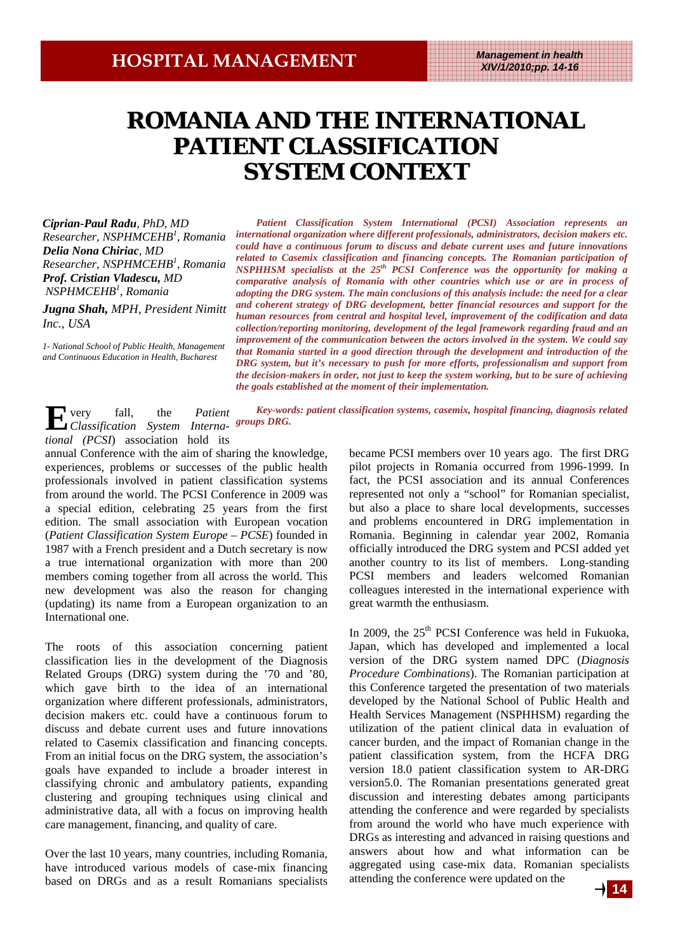## **ROMANIA AND THE INTERNATIONAL ROMANIA AND THE INTERNATIONAL PATIENT CLASSIFICATION CLASSIFICATION PATIENT CLASSIFICATION SYSTEM CONTEXT**

*Ciprian-Paul Radu, PhD, MD Researcher, NSPHMCEHB<sup>1</sup> , Romania Delia Nona Chiriac, MD Researcher, NSPHMCEHB<sup>1</sup> , Romania Prof. Cristian Vladescu, MD NSPHMCEHB<sup>1</sup> , Romania* 

*Jugna Shah, MPH, President Nimitt Inc., USA* 

*1- National School of Public Health, Management and Continuous Education in Health, Bucharest*

*Patient Classification System International (PCSI) Association represents an international organization where different professionals, administrators, decision makers etc. could have a continuous forum to discuss and debate current uses and future innovations related to Casemix classification and financing concepts. The Romanian participation of NSPHHSM specialists at the 25th PCSI Conference was the opportunity for making a comparative analysis of Romania with other countries which use or are in process of adopting the DRG system. The main conclusions of this analysis include: the need for a clear and coherent strategy of DRG development, better financial resources and support for the human resources from central and hospital level, improvement of the codification and data collection/reporting monitoring, development of the legal framework regarding fraud and an improvement of the communication between the actors involved in the system. We could say that Romania started in a good direction through the development and introduction of the DRG system, but it's necessary to push for more efforts, professionalism and support from the decision-makers in order, not just to keep the system working, but to be sure of achieving the goals established at the moment of their implementation.* 

**E**very fall, the *Patient Classification System Interna-groups DRG. Key-words: patient classification systems, casemix, hospital financing, diagnosis related* 

*tional (PCSI*) association hold its

annual Conference with the aim of sharing the knowledge, experiences, problems or successes of the public health professionals involved in patient classification systems from around the world. The PCSI Conference in 2009 was a special edition, celebrating 25 years from the first edition. The small association with European vocation (*Patient Classification System Europe – PCSE*) founded in 1987 with a French president and a Dutch secretary is now a true international organization with more than 200 members coming together from all across the world. This new development was also the reason for changing (updating) its name from a European organization to an International one.

The roots of this association concerning patient classification lies in the development of the Diagnosis Related Groups (DRG) system during the '70 and '80, which gave birth to the idea of an international organization where different professionals, administrators, decision makers etc. could have a continuous forum to discuss and debate current uses and future innovations related to Casemix classification and financing concepts. From an initial focus on the DRG system, the association's goals have expanded to include a broader interest in classifying chronic and ambulatory patients, expanding clustering and grouping techniques using clinical and administrative data, all with a focus on improving health care management, financing, and quality of care.

Over the last 10 years, many countries, including Romania, have introduced various models of case-mix financing based on DRGs and as a result Romanians specialists became PCSI members over 10 years ago. The first DRG pilot projects in Romania occurred from 1996-1999. In fact, the PCSI association and its annual Conferences represented not only a "school" for Romanian specialist, but also a place to share local developments, successes and problems encountered in DRG implementation in Romania. Beginning in calendar year 2002, Romania officially introduced the DRG system and PCSI added yet another country to its list of members. Long-standing PCSI members and leaders welcomed Romanian colleagues interested in the international experience with great warmth the enthusiasm.

In 2009, the  $25<sup>th</sup>$  PCSI Conference was held in Fukuoka, Japan, which has developed and implemented a local version of the DRG system named DPC (*Diagnosis Procedure Combinations*). The Romanian participation at this Conference targeted the presentation of two materials developed by the National School of Public Health and Health Services Management (NSPHHSM) regarding the utilization of the patient clinical data in evaluation of cancer burden, and the impact of Romanian change in the patient classification system, from the HCFA DRG version 18.0 patient classification system to AR-DRG version5.0. The Romanian presentations generated great discussion and interesting debates among participants attending the conference and were regarded by specialists from around the world who have much experience with DRGs as interesting and advanced in raising questions and answers about how and what information can be aggregated using case-mix data. Romanian specialists attending the conference were updated on the

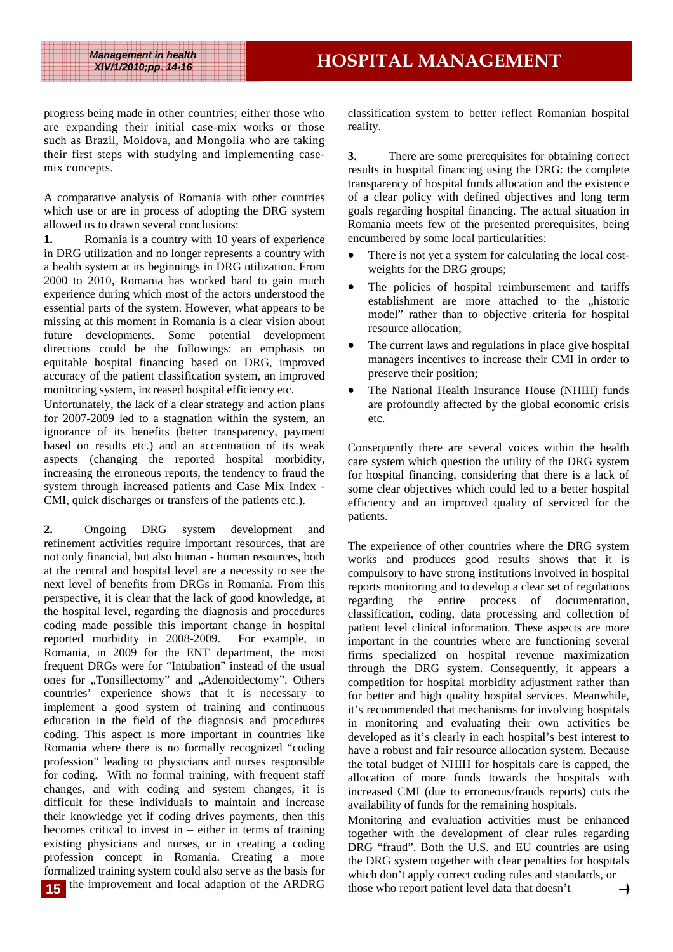*Management in health* 

progress being made in other countries; either those who are expanding their initial case-mix works or those such as Brazil, Moldova, and Mongolia who are taking their first steps with studying and implementing casemix concepts.

A comparative analysis of Romania with other countries which use or are in process of adopting the DRG system allowed us to drawn several conclusions:

**1.** Romania is a country with 10 years of experience in DRG utilization and no longer represents a country with a health system at its beginnings in DRG utilization. From 2000 to 2010, Romania has worked hard to gain much experience during which most of the actors understood the essential parts of the system. However, what appears to be missing at this moment in Romania is a clear vision about future developments. Some potential development directions could be the followings: an emphasis on equitable hospital financing based on DRG, improved accuracy of the patient classification system, an improved monitoring system, increased hospital efficiency etc.

Unfortunately, the lack of a clear strategy and action plans for 2007-2009 led to a stagnation within the system, an ignorance of its benefits (better transparency, payment based on results etc.) and an accentuation of its weak aspects (changing the reported hospital morbidity, increasing the erroneous reports, the tendency to fraud the system through increased patients and Case Mix Index - CMI, quick discharges or transfers of the patients etc.).

**2.** Ongoing DRG system development and refinement activities require important resources, that are not only financial, but also human - human resources, both at the central and hospital level are a necessity to see the next level of benefits from DRGs in Romania. From this perspective, it is clear that the lack of good knowledge, at the hospital level, regarding the diagnosis and procedures coding made possible this important change in hospital reported morbidity in 2008-2009. For example, in Romania, in 2009 for the ENT department, the most frequent DRGs were for "Intubation" instead of the usual ones for "Tonsillectomy" and "Adenoidectomy". Others countries' experience shows that it is necessary to implement a good system of training and continuous education in the field of the diagnosis and procedures coding. This aspect is more important in countries like Romania where there is no formally recognized "coding profession" leading to physicians and nurses responsible for coding. With no formal training, with frequent staff changes, and with coding and system changes, it is difficult for these individuals to maintain and increase their knowledge yet if coding drives payments, then this becomes critical to invest in – either in terms of training existing physicians and nurses, or in creating a coding profession concept in Romania. Creating a more formalized training system could also serve as the basis for 15 the improvement and local adaption of the ARDRG

classification system to better reflect Romanian hospital reality.

**3.** There are some prerequisites for obtaining correct results in hospital financing using the DRG: the complete transparency of hospital funds allocation and the existence of a clear policy with defined objectives and long term goals regarding hospital financing. The actual situation in Romania meets few of the presented prerequisites, being encumbered by some local particularities:

- There is not yet a system for calculating the local costweights for the DRG groups;
- The policies of hospital reimbursement and tariffs establishment are more attached to the "historic model" rather than to objective criteria for hospital resource allocation;
- The current laws and regulations in place give hospital managers incentives to increase their CMI in order to preserve their position;
- The National Health Insurance House (NHIH) funds are profoundly affected by the global economic crisis etc.

Consequently there are several voices within the health care system which question the utility of the DRG system for hospital financing, considering that there is a lack of some clear objectives which could led to a better hospital efficiency and an improved quality of serviced for the patients.

The experience of other countries where the DRG system works and produces good results shows that it is compulsory to have strong institutions involved in hospital reports monitoring and to develop a clear set of regulations regarding the entire process of documentation, classification, coding, data processing and collection of patient level clinical information. These aspects are more important in the countries where are functioning several firms specialized on hospital revenue maximization through the DRG system. Consequently, it appears a competition for hospital morbidity adjustment rather than for better and high quality hospital services. Meanwhile, it's recommended that mechanisms for involving hospitals in monitoring and evaluating their own activities be developed as it's clearly in each hospital's best interest to have a robust and fair resource allocation system. Because the total budget of NHIH for hospitals care is capped, the allocation of more funds towards the hospitals with increased CMI (due to erroneous/frauds reports) cuts the availability of funds for the remaining hospitals.

Monitoring and evaluation activities must be enhanced together with the development of clear rules regarding DRG "fraud". Both the U.S. and EU countries are using the DRG system together with clear penalties for hospitals which don't apply correct coding rules and standards, or those who report patient level data that doesn't